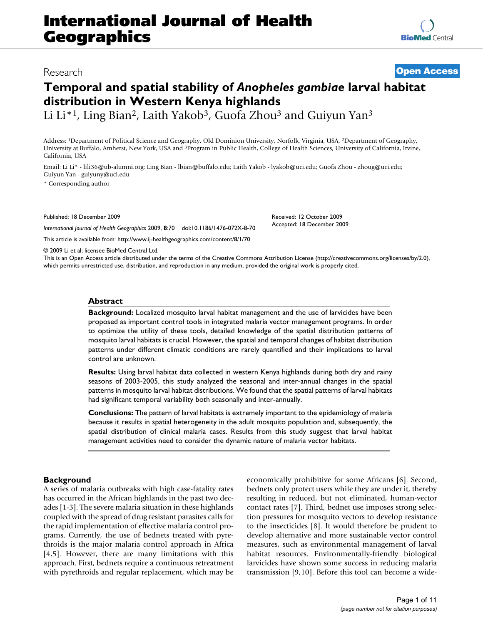## Research **[Open Access](http://www.biomedcentral.com/info/about/charter/)**

# **Temporal and spatial stability of** *Anopheles gambiae* **larval habitat distribution in Western Kenya highlands**

Li Li<sup>\*1</sup>, Ling Bian<sup>2</sup>, Laith Yakob<sup>3</sup>, Guofa Zhou<sup>3</sup> and Guiyun Yan<sup>3</sup>

Address: 1Department of Political Science and Geography, Old Dominion University, Norfolk, Virginia, USA, 2Department of Geography, University at Buffalo, Amherst, New York, USA and 3Program in Public Health, College of Health Sciences, University of California, Irvine, California, USA

Email: Li Li\* - lili36@ub-alumni.org; Ling Bian - lbian@buffalo.edu; Laith Yakob - lyakob@uci.edu; Guofa Zhou - zhoug@uci.edu; Guiyun Yan - guiyuny@uci.edu

\* Corresponding author

Published: 18 December 2009

*International Journal of Health Geographics* 2009, **8**:70 doi:10.1186/1476-072X-8-70

[This article is available from: http://www.ij-healthgeographics.com/content/8/1/70](http://www.ij-healthgeographics.com/content/8/1/70)

© 2009 Li et al; licensee BioMed Central Ltd.

This is an Open Access article distributed under the terms of the Creative Commons Attribution License [\(http://creativecommons.org/licenses/by/2.0\)](http://creativecommons.org/licenses/by/2.0), which permits unrestricted use, distribution, and reproduction in any medium, provided the original work is properly cited.

Received: 12 October 2009 Accepted: 18 December 2009

#### **Abstract**

**Background:** Localized mosquito larval habitat management and the use of larvicides have been proposed as important control tools in integrated malaria vector management programs. In order to optimize the utility of these tools, detailed knowledge of the spatial distribution patterns of mosquito larval habitats is crucial. However, the spatial and temporal changes of habitat distribution patterns under different climatic conditions are rarely quantified and their implications to larval control are unknown.

**Results:** Using larval habitat data collected in western Kenya highlands during both dry and rainy seasons of 2003-2005, this study analyzed the seasonal and inter-annual changes in the spatial patterns in mosquito larval habitat distributions. We found that the spatial patterns of larval habitats had significant temporal variability both seasonally and inter-annually.

**Conclusions:** The pattern of larval habitats is extremely important to the epidemiology of malaria because it results in spatial heterogeneity in the adult mosquito population and, subsequently, the spatial distribution of clinical malaria cases. Results from this study suggest that larval habitat management activities need to consider the dynamic nature of malaria vector habitats.

#### **Background**

A series of malaria outbreaks with high case-fatality rates has occurred in the African highlands in the past two decades [1-3]. The severe malaria situation in these highlands coupled with the spread of drug resistant parasites calls for the rapid implementation of effective malaria control programs. Currently, the use of bednets treated with pyrethroids is the major malaria control approach in Africa [4,5]. However, there are many limitations with this approach. First, bednets require a continuous retreatment with pyrethroids and regular replacement, which may be economically prohibitive for some Africans [6]. Second, bednets only protect users while they are under it, thereby resulting in reduced, but not eliminated, human-vector contact rates [7]. Third, bednet use imposes strong selection pressures for mosquito vectors to develop resistance to the insecticides [8]. It would therefore be prudent to develop alternative and more sustainable vector control measures, such as environmental management of larval habitat resources. Environmentally-friendly biological larvicides have shown some success in reducing malaria transmission [9,10]. Before this tool can become a wide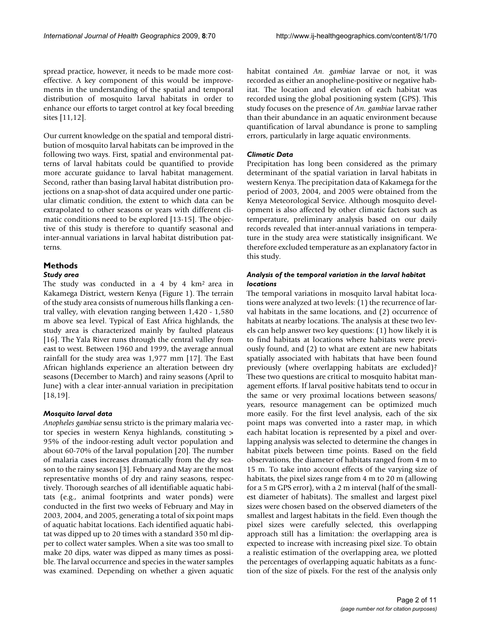spread practice, however, it needs to be made more costeffective. A key component of this would be improvements in the understanding of the spatial and temporal distribution of mosquito larval habitats in order to enhance our efforts to target control at key focal breeding sites [11,12].

Our current knowledge on the spatial and temporal distribution of mosquito larval habitats can be improved in the following two ways. First, spatial and environmental patterns of larval habitats could be quantified to provide more accurate guidance to larval habitat management. Second, rather than basing larval habitat distribution projections on a snap-shot of data acquired under one particular climatic condition, the extent to which data can be extrapolated to other seasons or years with different climatic conditions need to be explored [13-15]. The objective of this study is therefore to quantify seasonal and inter-annual variations in larval habitat distribution patterns.

## **Methods**

#### *Study area*

The study was conducted in a 4 by 4 km2 area in Kakamega District, western Kenya (Figure 1). The terrain of the study area consists of numerous hills flanking a central valley, with elevation ranging between 1,420 - 1,580 m above sea level. Typical of East Africa highlands, the study area is characterized mainly by faulted plateaus [16]. The Yala River runs through the central valley from east to west. Between 1960 and 1999, the average annual rainfall for the study area was 1,977 mm [17]. The East African highlands experience an alteration between dry seasons (December to March) and rainy seasons (April to June) with a clear inter-annual variation in precipitation [18,19].

## *Mosquito larval data*

*Anopheles gambiae* sensu stricto is the primary malaria vector species in western Kenya highlands, constituting > 95% of the indoor-resting adult vector population and about 60-70% of the larval population [20]. The number of malaria cases increases dramatically from the dry season to the rainy season [3]. February and May are the most representative months of dry and rainy seasons, respectively. Thorough searches of all identifiable aquatic habitats (e.g., animal footprints and water ponds) were conducted in the first two weeks of February and May in 2003, 2004, and 2005, generating a total of six point maps of aquatic habitat locations. Each identified aquatic habitat was dipped up to 20 times with a standard 350 ml dipper to collect water samples. When a site was too small to make 20 dips, water was dipped as many times as possible. The larval occurrence and species in the water samples was examined. Depending on whether a given aquatic habitat contained *An. gambiae* larvae or not, it was recorded as either an anopheline-positive or negative habitat. The location and elevation of each habitat was recorded using the global positioning system (GPS). This study focuses on the presence of *An. gambiae* larvae rather than their abundance in an aquatic environment because quantification of larval abundance is prone to sampling errors, particularly in large aquatic environments.

## *Climatic Data*

Precipitation has long been considered as the primary determinant of the spatial variation in larval habitats in western Kenya. The precipitation data of Kakamega for the period of 2003, 2004, and 2005 were obtained from the Kenya Meteorological Service. Although mosquito development is also affected by other climatic factors such as temperature, preliminary analysis based on our daily records revealed that inter-annual variations in temperature in the study area were statistically insignificant. We therefore excluded temperature as an explanatory factor in this study.

## *Analysis of the temporal variation in the larval habitat locations*

The temporal variations in mosquito larval habitat locations were analyzed at two levels: (1) the recurrence of larval habitats in the same locations, and (2) occurrence of habitats at nearby locations. The analysis at these two levels can help answer two key questions: (1) how likely it is to find habitats at locations where habitats were previously found, and (2) to what are extent are new habitats spatially associated with habitats that have been found previously (where overlapping habitats are excluded)? These two questions are critical to mosquito habitat management efforts. If larval positive habitats tend to occur in the same or very proximal locations between seasons/ years, resource management can be optimized much more easily. For the first level analysis, each of the six point maps was converted into a raster map, in which each habitat location is represented by a pixel and overlapping analysis was selected to determine the changes in habitat pixels between time points. Based on the field observations, the diameter of habitats ranged from 4 m to 15 m. To take into account effects of the varying size of habitats, the pixel sizes range from 4 m to 20 m (allowing for a 5 m GPS error), with a 2 m interval (half of the smallest diameter of habitats). The smallest and largest pixel sizes were chosen based on the observed diameters of the smallest and largest habitats in the field. Even though the pixel sizes were carefully selected, this overlapping approach still has a limitation: the overlapping area is expected to increase with increasing pixel size. To obtain a realistic estimation of the overlapping area, we plotted the percentages of overlapping aquatic habitats as a function of the size of pixels. For the rest of the analysis only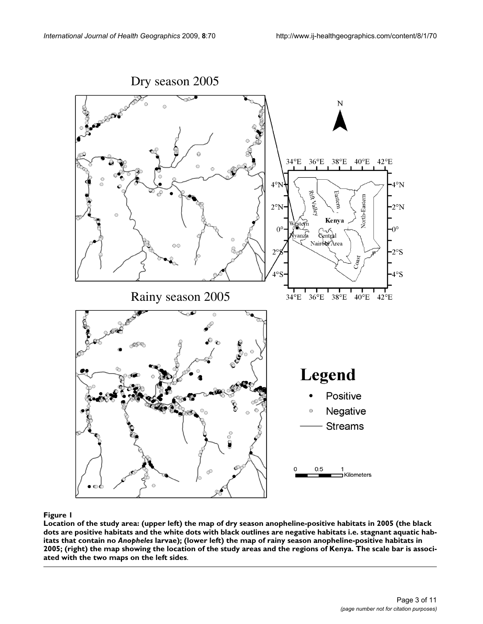

#### habitats and the white dots with black study areas and the regions of Kenya. The scale bar is **Figure 1** Location of the study area: (upper left) the map of dry season vae); (lower left) the map of rainy seasonoutlines are negative habitats i.e. stagn anopheline-positive habitats in 2005; (r associated with the two anopheline-positive habitats in ant aquatic habitats that contain no maps on the left sides ight) the map showing 2005 (the black dots are positiv the location of the *Anopheles* lar-e

**Location of the study area: (upper left) the map of dry season anopheline-positive habitats in 2005 (the black dots are positive habitats and the white dots with black outlines are negative habitats i.e. stagnant aquatic habitats that contain no** *Anopheles* **larvae); (lower left) the map of rainy season anopheline-positive habitats in 2005; (right) the map showing the location of the study areas and the regions of Kenya. The scale bar is associated with the two maps on the left sides**.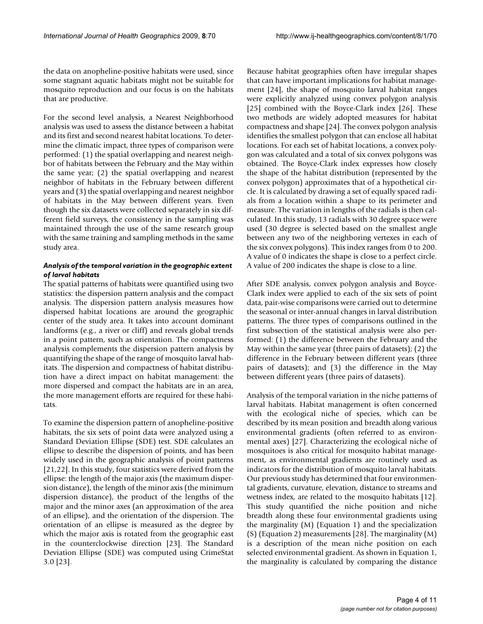the data on anopheline-positive habitats were used, since some stagnant aquatic habitats might not be suitable for mosquito reproduction and our focus is on the habitats that are productive.

For the second level analysis, a Nearest Neighborhood analysis was used to assess the distance between a habitat and its first and second nearest habitat locations. To determine the climatic impact, three types of comparison were performed: (1) the spatial overlapping and nearest neighbor of habitats between the February and the May within the same year; (2) the spatial overlapping and nearest neighbor of habitats in the February between different years and (3) the spatial overlapping and nearest neighbor of habitats in the May between different years. Even though the six datasets were collected separately in six different field surveys, the consistency in the sampling was maintained through the use of the same research group with the same training and sampling methods in the same study area.

## *Analysis of the temporal variation in the geographic extent of larval habitats*

The spatial patterns of habitats were quantified using two statistics: the dispersion pattern analysis and the compact analysis. The dispersion pattern analysis measures how dispersed habitat locations are around the geographic center of the study area. It takes into account dominant landforms (e.g., a river or cliff) and reveals global trends in a point pattern, such as orientation. The compactness analysis complements the dispersion pattern analysis by quantifying the shape of the range of mosquito larval habitats. The dispersion and compactness of habitat distribution have a direct impact on habitat management: the more dispersed and compact the habitats are in an area, the more management efforts are required for these habitats.

To examine the dispersion pattern of anopheline-positive habitats, the six sets of point data were analyzed using a Standard Deviation Ellipse (SDE) test. SDE calculates an ellipse to describe the dispersion of points, and has been widely used in the geographic analysis of point patterns [21,22]. In this study, four statistics were derived from the ellipse: the length of the major axis (the maximum dispersion distance), the length of the minor axis (the minimum dispersion distance), the product of the lengths of the major and the minor axes (an approximation of the area of an ellipse), and the orientation of the dispersion. The orientation of an ellipse is measured as the degree by which the major axis is rotated from the geographic east in the counterclockwise direction [23]. The Standard Deviation Ellipse (SDE) was computed using CrimeStat 3.0 [23].

Because habitat geographies often have irregular shapes that can have important implications for habitat management [24], the shape of mosquito larval habitat ranges were explicitly analyzed using convex polygon analysis [25] combined with the Boyce-Clark index [26]. These two methods are widely adopted measures for habitat compactness and shape [24]. The convex polygon analysis identifies the smallest polygon that can enclose all habitat locations. For each set of habitat locations, a convex polygon was calculated and a total of six convex polygons was obtained. The Boyce-Clark index expresses how closely the shape of the habitat distribution (represented by the convex polygon) approximates that of a hypothetical circle. It is calculated by drawing a set of equally spaced radials from a location within a shape to its perimeter and measure. The variation in lengths of the radials is then calculated. In this study, 13 radials with 30 degree space were used (30 degree is selected based on the smallest angle between any two of the neighboring vertexes in each of the six convex polygons). This index ranges from 0 to 200. A value of 0 indicates the shape is close to a perfect circle. A value of 200 indicates the shape is close to a line.

After SDE analysis, convex polygon analysis and Boyce-Clark index were applied to each of the six sets of point data, pair-wise comparisons were carried out to determine the seasonal or inter-annual changes in larval distribution patterns. The three types of comparisons outlined in the first subsection of the statistical analysis were also performed: (1) the difference between the February and the May within the same year (three pairs of datasets); (2) the difference in the February between different years (three pairs of datasets); and (3) the difference in the May between different years (three pairs of datasets).

Analysis of the temporal variation in the niche patterns of larval habitats. Habitat management is often concerned with the ecological niche of species, which can be described by its mean position and breadth along various environmental gradients (often referred to as environmental axes) [27]. Characterizing the ecological niche of mosquitoes is also critical for mosquito habitat management, as environmental gradients are routinely used as indicators for the distribution of mosquito larval habitats. Our previous study has determined that four environmental gradients, curvature, elevation, distance to streams and wetness index, are related to the mosquito habitats [12]. This study quantified the niche position and niche breadth along these four environmental gradients using the marginality (M) (Equation 1) and the specialization (S) (Equation 2) measurements [28]. The marginality (M) is a description of the mean niche position on each selected environmental gradient. As shown in Equation 1, the marginality is calculated by comparing the distance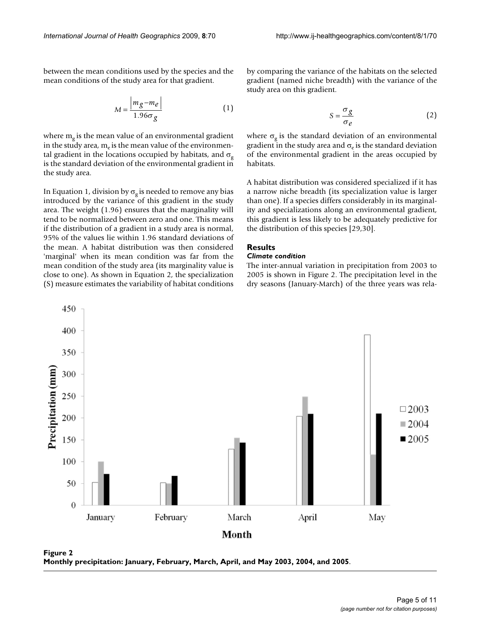between the mean conditions used by the species and the mean conditions of the study area for that gradient.

$$
M = \frac{\left|m_{g} - m_{e}\right|}{1.96\sigma_{g}}
$$
 (1)

where  $m<sub>g</sub>$  is the mean value of an environmental gradient in the study area,  $m_e$  is the mean value of the environmental gradient in the locations occupied by habitats, and  $\sigma_{\alpha}$ is the standard deviation of the environmental gradient in the study area.

In Equation 1, division by  $\sigma_{\varrho}$  is needed to remove any bias introduced by the variance of this gradient in the study area. The weight (1.96) ensures that the marginality will tend to be normalized between zero and one. This means if the distribution of a gradient in a study area is normal, 95% of the values lie within 1.96 standard deviations of the mean. A habitat distribution was then considered 'marginal' when its mean condition was far from the mean condition of the study area (its marginality value is close to one). As shown in Equation 2, the specialization (S) measure estimates the variability of habitat conditions

by comparing the variance of the habitats on the selected gradient (named niche breadth) with the variance of the study area on this gradient.

$$
S = \frac{\sigma_g}{\sigma_e} \tag{2}
$$

where  $\sigma_{\rm g}$  is the standard deviation of an environmental gradient in the study area and  $\sigma_e$  is the standard deviation of the environmental gradient in the areas occupied by habitats.

A habitat distribution was considered specialized if it has a narrow niche breadth (its specialization value is larger than one). If a species differs considerably in its marginality and specializations along an environmental gradient, this gradient is less likely to be adequately predictive for the distribution of this species [29,30].

## **Results**

## *Climate condition*

The inter-annual variation in precipitation from 2003 to 2005 is shown in Figure 2. The precipitation level in the dry seasons (January-March) of the three years was rela-



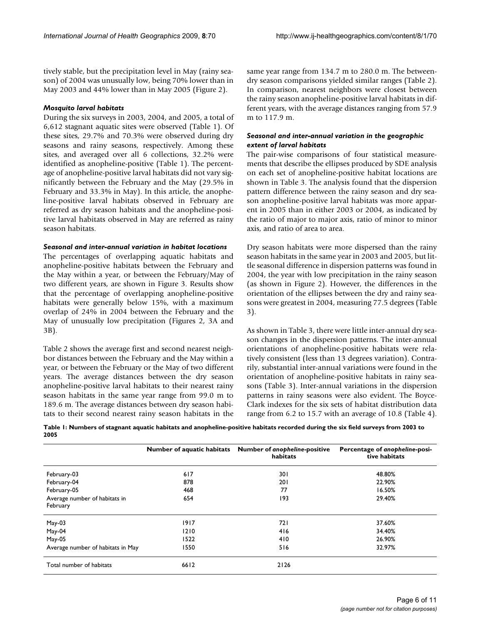tively stable, but the precipitation level in May (rainy season) of 2004 was unusually low, being 70% lower than in May 2003 and 44% lower than in May 2005 (Figure 2).

## *Mosquito larval habitats*

During the six surveys in 2003, 2004, and 2005, a total of 6,612 stagnant aquatic sites were observed (Table 1). Of these sites, 29.7% and 70.3% were observed during dry seasons and rainy seasons, respectively. Among these sites, and averaged over all 6 collections, 32.2% were identified as anopheline-positive (Table 1). The percentage of anopheline-positive larval habitats did not vary significantly between the February and the May (29.5% in February and 33.3% in May). In this article, the anopheline-positive larval habitats observed in February are referred as dry season habitats and the anopheline-positive larval habitats observed in May are referred as rainy season habitats.

## *Seasonal and inter-annual variation in habitat locations*

The percentages of overlapping aquatic habitats and anopheline-positive habitats between the February and the May within a year, or between the February/May of two different years, are shown in Figure 3. Results show that the percentage of overlapping anopheline-positive habitats were generally below 15%, with a maximum overlap of 24% in 2004 between the February and the May of unusually low precipitation (Figures 2, 3A and 3B).

Table 2 shows the average first and second nearest neighbor distances between the February and the May within a year, or between the February or the May of two different years. The average distances between the dry season anopheline-positive larval habitats to their nearest rainy season habitats in the same year range from 99.0 m to 189.6 m. The average distances between dry season habitats to their second nearest rainy season habitats in the same year range from 134.7 m to 280.0 m. The betweendry season comparisons yielded similar ranges (Table 2). In comparison, nearest neighbors were closest between the rainy season anopheline-positive larval habitats in different years, with the average distances ranging from 57.9 m to 117.9 m.

## *Seasonal and inter-annual variation in the geographic extent of larval habitats*

The pair-wise comparisons of four statistical measurements that describe the ellipses produced by SDE analysis on each set of anopheline-positive habitat locations are shown in Table 3. The analysis found that the dispersion pattern difference between the rainy season and dry season anopheline-positive larval habitats was more apparent in 2005 than in either 2003 or 2004, as indicated by the ratio of major to major axis, ratio of minor to minor axis, and ratio of area to area.

Dry season habitats were more dispersed than the rainy season habitats in the same year in 2003 and 2005, but little seasonal difference in dispersion patterns was found in 2004, the year with low precipitation in the rainy season (as shown in Figure 2). However, the differences in the orientation of the ellipses between the dry and rainy seasons were greatest in 2004, measuring 77.5 degrees (Table 3).

As shown in Table 3, there were little inter-annual dry season changes in the dispersion patterns. The inter-annual orientations of anopheline-positive habitats were relatively consistent (less than 13 degrees variation). Contrarily, substantial inter-annual variations were found in the orientation of anopheline-positive habitats in rainy seasons (Table 3). Inter-annual variations in the dispersion patterns in rainy seasons were also evident. The Boyce-Clark indexes for the six sets of habitat distribution data range from 6.2 to 15.7 with an average of 10.8 (Table 4).

**Table 1: Numbers of stagnant aquatic habitats and anopheline-positive habitats recorded during the six field surveys from 2003 to 2005**

|                                           | Number of aquatic habitats | Number of anopheline-positive<br>habitats | Percentage of anopheline-posi-<br>tive habitats |
|-------------------------------------------|----------------------------|-------------------------------------------|-------------------------------------------------|
| February-03                               | 617                        | 301                                       | 48.80%                                          |
| February-04                               | 878                        | 201                                       | 22.90%                                          |
| February-05                               | 468                        | 77                                        | 16.50%                                          |
| Average number of habitats in<br>February | 654                        | 193                                       | 29.40%                                          |
| May-03                                    | 1917                       | 721                                       | 37.60%                                          |
| May-04                                    | 1210                       | 416                                       | 34.40%                                          |
| May-05                                    | 1522                       | 410                                       | 26.90%                                          |
| Average number of habitats in May         | 1550                       | 516                                       | 32.97%                                          |
| Total number of habitats                  | 6612                       | 2126                                      |                                                 |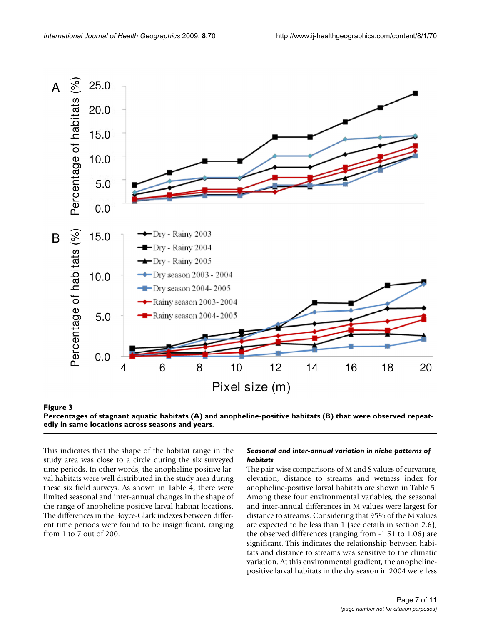



This indicates that the shape of the habitat range in the study area was close to a circle during the six surveyed time periods. In other words, the anopheline positive larval habitats were well distributed in the study area during these six field surveys. As shown in Table 4, there were limited seasonal and inter-annual changes in the shape of the range of anopheline positive larval habitat locations. The differences in the Boyce-Clark indexes between different time periods were found to be insignificant, ranging from 1 to 7 out of 200.

#### *Seasonal and inter-annual variation in niche patterns of habitats*

The pair-wise comparisons of M and S values of curvature, elevation, distance to streams and wetness index for anopheline-positive larval habitats are shown in Table 5. Among these four environmental variables, the seasonal and inter-annual differences in M values were largest for distance to streams. Considering that 95% of the M values are expected to be less than 1 (see details in section 2.6), the observed differences (ranging from -1.51 to 1.06) are significant. This indicates the relationship between habitats and distance to streams was sensitive to the climatic variation. At this environmental gradient, the anophelinepositive larval habitats in the dry season in 2004 were less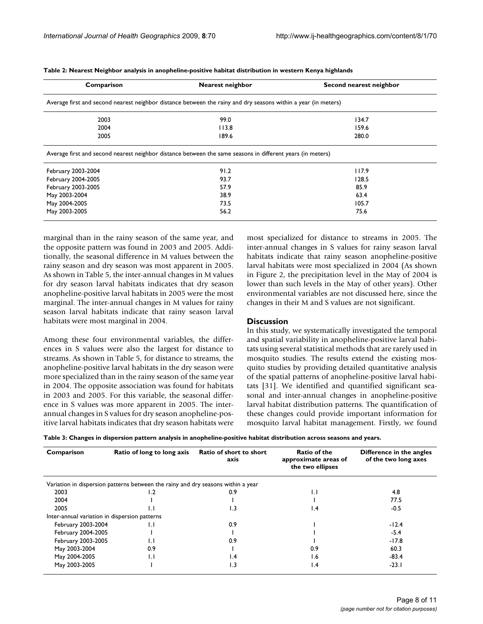| Comparison                                                                      | <b>Nearest neighbor</b>                                                                                        | Second nearest neighbor |  |
|---------------------------------------------------------------------------------|----------------------------------------------------------------------------------------------------------------|-------------------------|--|
|                                                                                 | Average first and second nearest neighbor distance between the rainy and dry seasons within a year (in meters) |                         |  |
| 2003                                                                            | 99.0                                                                                                           | 134.7                   |  |
| 2004                                                                            | 113.8                                                                                                          | 159.6                   |  |
| 2005                                                                            | 189.6                                                                                                          | 280.0                   |  |
|                                                                                 | Average first and second nearest neighbor distance between the same seasons in different years (in meters)     |                         |  |
|                                                                                 |                                                                                                                |                         |  |
|                                                                                 | 91.2                                                                                                           | 117.9                   |  |
|                                                                                 | 93.7<br>57.9                                                                                                   | 128.5<br>85.9           |  |
| February 2003-2004<br>February 2004-2005<br>February 2003-2005<br>May 2003-2004 | 38.9                                                                                                           | 63.4                    |  |
| May 2004-2005                                                                   | 73.5                                                                                                           | 105.7                   |  |

**Table 2: Nearest Neighbor analysis in anopheline-positive habitat distribution in western Kenya highlands**

marginal than in the rainy season of the same year, and the opposite pattern was found in 2003 and 2005. Additionally, the seasonal difference in M values between the rainy season and dry season was most apparent in 2005. As shown in Table 5, the inter-annual changes in M values for dry season larval habitats indicates that dry season anopheline-positive larval habitats in 2005 were the most marginal. The inter-annual changes in M values for rainy season larval habitats indicate that rainy season larval habitats were most marginal in 2004.

Among these four environmental variables, the differences in S values were also the largest for distance to streams. As shown in Table 5, for distance to streams, the anopheline-positive larval habitats in the dry season were more specialized than in the rainy season of the same year in 2004. The opposite association was found for habitats in 2003 and 2005. For this variable, the seasonal difference in S values was more apparent in 2005. The interannual changes in S values for dry season anopheline-positive larval habitats indicates that dry season habitats were most specialized for distance to streams in 2005. The inter-annual changes in S values for rainy season larval habitats indicate that rainy season anopheline-positive larval habitats were most specialized in 2004 (As shown in Figure 2, the precipitation level in the May of 2004 is lower than such levels in the May of other years). Other environmental variables are not discussed here, since the changes in their M and S values are not significant.

#### **Discussion**

In this study, we systematically investigated the temporal and spatial variability in anopheline-positive larval habitats using several statistical methods that are rarely used in mosquito studies. The results extend the existing mosquito studies by providing detailed quantitative analysis of the spatial patterns of anopheline-positive larval habitats [31]. We identified and quantified significant seasonal and inter-annual changes in anopheline-positive larval habitat distribution patterns. The quantification of these changes could provide important information for mosquito larval habitat management. Firstly, we found

**Table 3: Changes in dispersion pattern analysis in anopheline-positive habitat distribution across seasons and years.**

| Comparison                                    | Ratio of long to long axis                                                       | Ratio of short to short<br>axis | <b>Ratio of the</b><br>approximate areas of<br>the two ellipses | Difference in the angles<br>of the two long axes |
|-----------------------------------------------|----------------------------------------------------------------------------------|---------------------------------|-----------------------------------------------------------------|--------------------------------------------------|
|                                               | Variation in dispersion patterns between the rainy and dry seasons within a year |                                 |                                                                 |                                                  |
| 2003                                          | 1.2                                                                              | 0.9                             | $\mathsf{L}$                                                    | 4.8                                              |
| 2004                                          |                                                                                  |                                 |                                                                 | 77.5                                             |
| 2005                                          | L.I                                                                              | l.3                             | l.4                                                             | $-0.5$                                           |
| Inter-annual variation in dispersion patterns |                                                                                  |                                 |                                                                 |                                                  |
| February 2003-2004                            | IJ                                                                               | 0.9                             |                                                                 | $-12.4$                                          |
| February 2004-2005                            |                                                                                  |                                 |                                                                 | $-5.4$                                           |
| February 2003-2005                            | $\overline{1}$ .                                                                 | 0.9                             |                                                                 | $-17.8$                                          |
| May 2003-2004                                 | 0.9                                                                              |                                 | 0.9                                                             | 60.3                                             |
| May 2004-2005                                 | IJ                                                                               | l.4                             | l.6                                                             | $-83.4$                                          |
| May 2003-2005                                 |                                                                                  | 1.3                             | $\mathsf{I}$ .4                                                 | $-23.1$                                          |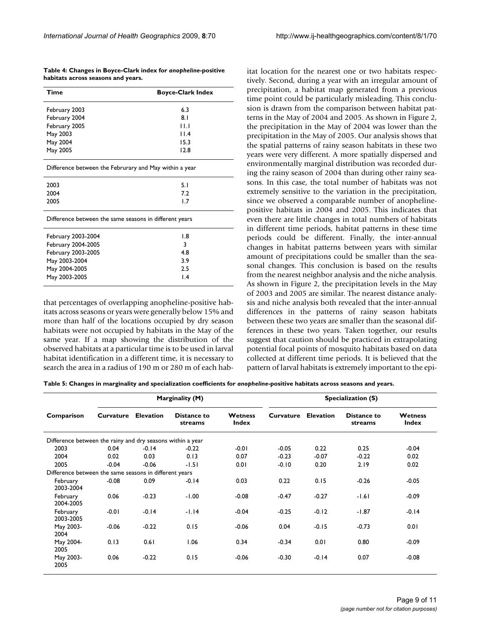**Table 4: Changes in Boyce-Clark index for** *anopheline***-positive habitats across seasons and years.**

| Time                                                   | <b>Boyce-Clark Index</b> |  |  |  |
|--------------------------------------------------------|--------------------------|--|--|--|
| February 2003                                          | 6.3                      |  |  |  |
| February 2004                                          | 8.1                      |  |  |  |
| February 2005                                          | 11.1                     |  |  |  |
| May 2003                                               | 11.4                     |  |  |  |
| May 2004                                               | 15.3                     |  |  |  |
| May 2005                                               | 12.8                     |  |  |  |
| Difference between the Februrary and May within a year |                          |  |  |  |
| 2003                                                   | 5. I                     |  |  |  |
| 2004                                                   | 72                       |  |  |  |
| 2005                                                   | 1.7                      |  |  |  |
| Difference between the same seasons in different years |                          |  |  |  |
| February 2003-2004                                     | 1.8                      |  |  |  |
| February 2004-2005                                     | 3                        |  |  |  |
| February 2003-2005                                     | 4.8                      |  |  |  |
| May 2003-2004                                          | 3.9                      |  |  |  |
| May 2004-2005                                          | 2.5                      |  |  |  |
| May 2003-2005                                          | $\mathsf{I}$ .4          |  |  |  |

that percentages of overlapping anopheline-positive habitats across seasons or years were generally below 15% and more than half of the locations occupied by dry season habitats were not occupied by habitats in the May of the same year. If a map showing the distribution of the observed habitats at a particular time is to be used in larval habitat identification in a different time, it is necessary to search the area in a radius of 190 m or 280 m of each habitat location for the nearest one or two habitats respectively. Second, during a year with an irregular amount of precipitation, a habitat map generated from a previous time point could be particularly misleading. This conclusion is drawn from the comparison between habitat patterns in the May of 2004 and 2005. As shown in Figure 2, the precipitation in the May of 2004 was lower than the precipitation in the May of 2005. Our analysis shows that the spatial patterns of rainy season habitats in these two years were very different. A more spatially dispersed and environmentally marginal distribution was recorded during the rainy season of 2004 than during other rainy seasons. In this case, the total number of habitats was not extremely sensitive to the variation in the precipitation, since we observed a comparable number of anophelinepositive habitats in 2004 and 2005. This indicates that even there are little changes in total numbers of habitats in different time periods, habitat patterns in these time periods could be different. Finally, the inter-annual changes in habitat patterns between years with similar amount of precipitations could be smaller than the seasonal changes. This conclusion is based on the results from the nearest neighbor analysis and the niche analysis. As shown in Figure 2, the precipitation levels in the May of 2003 and 2005 are similar. The nearest distance analysis and niche analysis both revealed that the inter-annual differences in the patterns of rainy season habitats between these two years are smaller than the seasonal differences in these two years. Taken together, our results suggest that caution should be practiced in extrapolating potential focal points of mosquito habitats based on data collected at different time periods. It is believed that the pattern of larval habitats is extremely important to the epi-

**Table 5: Changes in marginality and specialization coefficients for** *anopheline***-positive habitats across seasons and years.**

|                                                            | Marginality (M) |                  |                               | Specialization (S)             |           |                  |                               |                                |
|------------------------------------------------------------|-----------------|------------------|-------------------------------|--------------------------------|-----------|------------------|-------------------------------|--------------------------------|
| Comparison                                                 | Curvature       | <b>Elevation</b> | <b>Distance to</b><br>streams | <b>Wetness</b><br><b>Index</b> | Curvature | <b>Elevation</b> | <b>Distance to</b><br>streams | <b>Wetness</b><br><b>Index</b> |
| Difference between the rainy and dry seasons within a year |                 |                  |                               |                                |           |                  |                               |                                |
| 2003                                                       | 0.04            | $-0.14$          | $-0.22$                       | $-0.01$                        | $-0.05$   | 0.22             | 0.25                          | $-0.04$                        |
| 2004                                                       | 0.02            | 0.03             | 0.13                          | 0.07                           | $-0.23$   | $-0.07$          | $-0.22$                       | 0.02                           |
| 2005                                                       | $-0.04$         | $-0.06$          | $-1.51$                       | 0.01                           | $-0.10$   | 0.20             | 2.19                          | 0.02                           |
| Difference between the same seasons in different years     |                 |                  |                               |                                |           |                  |                               |                                |
| February<br>2003-2004                                      | $-0.08$         | 0.09             | $-0.14$                       | 0.03                           | 0.22      | 0.15             | $-0.26$                       | $-0.05$                        |
| February<br>2004-2005                                      | 0.06            | $-0.23$          | $-1.00$                       | $-0.08$                        | $-0.47$   | $-0.27$          | $-1.61$                       | $-0.09$                        |
| February<br>2003-2005                                      | $-0.01$         | $-0.14$          | $-1.14$                       | $-0.04$                        | $-0.25$   | $-0.12$          | $-1.87$                       | $-0.14$                        |
| May 2003-<br>2004                                          | $-0.06$         | $-0.22$          | 0.15                          | $-0.06$                        | 0.04      | $-0.15$          | $-0.73$                       | 0.01                           |
| May 2004-<br>2005                                          | 0.13            | 0.61             | 1.06                          | 0.34                           | $-0.34$   | 0.01             | 0.80                          | $-0.09$                        |
| May 2003-<br>2005                                          | 0.06            | $-0.22$          | 0.15                          | $-0.06$                        | $-0.30$   | $-0.14$          | 0.07                          | $-0.08$                        |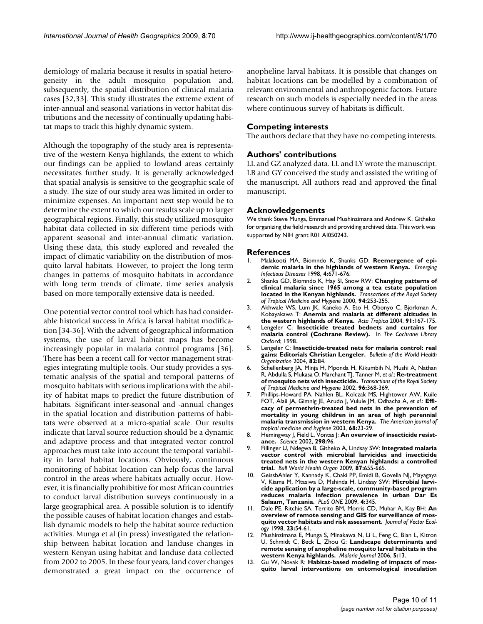demiology of malaria because it results in spatial heterogeneity in the adult mosquito population and, subsequently, the spatial distribution of clinical malaria cases [32,33]. This study illustrates the extreme extent of inter-annual and seasonal variations in vector habitat distributions and the necessity of continually updating habitat maps to track this highly dynamic system.

Although the topography of the study area is representative of the western Kenya highlands, the extent to which our findings can be applied to lowland areas certainly necessitates further study. It is generally acknowledged that spatial analysis is sensitive to the geographic scale of a study. The size of our study area was limited in order to minimize expenses. An important next step would be to determine the extent to which our results scale up to larger geographical regions. Finally, this study utilized mosquito habitat data collected in six different time periods with apparent seasonal and inter-annual climatic variation. Using these data, this study explored and revealed the impact of climatic variability on the distribution of mosquito larval habitats. However, to project the long term changes in patterns of mosquito habitats in accordance with long term trends of climate, time series analysis based on more temporally extensive data is needed.

One potential vector control tool which has had considerable historical success in Africa is larval habitat modification [34-36]. With the advent of geographical information systems, the use of larval habitat maps has become increasingly popular in malaria control programs [36]. There has been a recent call for vector management strategies integrating multiple tools. Our study provides a systematic analysis of the spatial and temporal patterns of mosquito habitats with serious implications with the ability of habitat maps to predict the future distribution of habitats. Significant inter-seasonal and -annual changes in the spatial location and distribution patterns of habitats were observed at a micro-spatial scale. Our results indicate that larval source reduction should be a dynamic and adaptive process and that integrated vector control approaches must take into account the temporal variability in larval habitat locations. Obviously, continuous monitoring of habitat location can help focus the larval control in the areas where habitats actually occur. However, it is financially prohibitive for most African countries to conduct larval distribution surveys continuously in a large geographical area. A possible solution is to identify the possible causes of habitat location changes and establish dynamic models to help the habitat source reduction activities. Munga et al (in press) investigated the relationship between habitat location and landuse changes in western Kenyan using habitat and landuse data collected from 2002 to 2005. In these four years, land cover changes demonstrated a great impact on the occurrence of anopheline larval habitats. It is possible that changes on habitat locations can be modelled by a combination of relevant environmental and anthropogenic factors. Future research on such models is especially needed in the areas where continuous survey of habitats is difficult.

#### **Competing interests**

The authors declare that they have no competing interests.

#### **Authors' contributions**

LL and GZ analyzed data. LL and LY wrote the manuscript. LB and GY conceived the study and assisted the writing of the manuscript. All authors read and approved the final manuscript.

#### **Acknowledgements**

We thank Steve Munga, Emmanuel Mushinzimana and Andrew K. Githeko for organizing the field research and providing archived data. This work was supported by NIH grant R01 AI050243.

#### **References**

- 1. Malakooti MA, Biomndo K, Shanks GD: **[Reemergence of epi](http://www.ncbi.nlm.nih.gov/entrez/query.fcgi?cmd=Retrieve&db=PubMed&dopt=Abstract&list_uids=9866748)[demic malaria in the highlands of western Kenya.](http://www.ncbi.nlm.nih.gov/entrez/query.fcgi?cmd=Retrieve&db=PubMed&dopt=Abstract&list_uids=9866748)** *Emerging Infectious Diseases* 1998, **4:**671-676.
- 2. Shanks GD, Biomndo K, Hay SI, Snow RW: **[Changing patterns of](http://www.ncbi.nlm.nih.gov/entrez/query.fcgi?cmd=Retrieve&db=PubMed&dopt=Abstract&list_uids=10974991) [clinical malaria since 1965 among a tea estate population](http://www.ncbi.nlm.nih.gov/entrez/query.fcgi?cmd=Retrieve&db=PubMed&dopt=Abstract&list_uids=10974991) [located in the Kenyan highlands.](http://www.ncbi.nlm.nih.gov/entrez/query.fcgi?cmd=Retrieve&db=PubMed&dopt=Abstract&list_uids=10974991)** *Transactions of the Royal Society of Tropical Medicine and Hygiene* 2000, **94:**253-255.
- 3. Akhwale WS, Lum JK, Kaneko A, Eto H, Obonyo C, Bjorkman A, Kobayakawa T: **[Anemia and malaria at different altitudes in](http://www.ncbi.nlm.nih.gov/entrez/query.fcgi?cmd=Retrieve&db=PubMed&dopt=Abstract&list_uids=15234666) [the western highlands of Kenya.](http://www.ncbi.nlm.nih.gov/entrez/query.fcgi?cmd=Retrieve&db=PubMed&dopt=Abstract&list_uids=15234666)** *Acta Tropica* 2004, **91:**167-175.
- 4. Lengeler C: **Insecticide treated bednets and curtains for malaria control (Cochrane Review).** In *The Cochrane Library* Oxford; 1998.
- 5. Lengeler C: **[Insecticide-treated nets for malaria control: real](http://www.ncbi.nlm.nih.gov/entrez/query.fcgi?cmd=Retrieve&db=PubMed&dopt=Abstract&list_uids=15042228) [gains: Editorials Christian Lengeler.](http://www.ncbi.nlm.nih.gov/entrez/query.fcgi?cmd=Retrieve&db=PubMed&dopt=Abstract&list_uids=15042228)** *Bulletin of the World Health Organization* 2004, **82:**84.
- 6. Schellenberg JA, Minja H, Mponda H, Kikumbih N, Mushi A, Nathan R, Abdulla S, Mukasa O, Marchant TJ, Tanner M, *et al.*: **[Re-treatment](http://www.ncbi.nlm.nih.gov/entrez/query.fcgi?cmd=Retrieve&db=PubMed&dopt=Abstract&list_uids=12497970) [of mosquito nets with insecticide.](http://www.ncbi.nlm.nih.gov/entrez/query.fcgi?cmd=Retrieve&db=PubMed&dopt=Abstract&list_uids=12497970)** *Transactions of the Royal Society of Tropical Medicine and Hygiene* 2002, **96:**368-369.
- 7. Phillips-Howard PA, Nahlen BL, Kolczak MS, Hightower AW, Kuile FOT, Alaii JA, Gimnig JE, Arudo J, Vulule JM, Odhacha A, *et al.*: **[Effi](http://www.ncbi.nlm.nih.gov/entrez/query.fcgi?cmd=Retrieve&db=PubMed&dopt=Abstract&list_uids=12749482)[cacy of permethrin-treated bed nets in the prevention of](http://www.ncbi.nlm.nih.gov/entrez/query.fcgi?cmd=Retrieve&db=PubMed&dopt=Abstract&list_uids=12749482) mortality in young children in an area of high perennial [malaria transmission in western Kenya.](http://www.ncbi.nlm.nih.gov/entrez/query.fcgi?cmd=Retrieve&db=PubMed&dopt=Abstract&list_uids=12749482)** *The American journal of tropical medicine and hygiene* 2003, **68:**23-29.
- 8. Hemingway J, Field L, Vontas J: **[An overview of insecticide resist](http://www.ncbi.nlm.nih.gov/entrez/query.fcgi?cmd=Retrieve&db=PubMed&dopt=Abstract&list_uids=12364782)[ance.](http://www.ncbi.nlm.nih.gov/entrez/query.fcgi?cmd=Retrieve&db=PubMed&dopt=Abstract&list_uids=12364782)** *Science* 2002, **298:**96.
- 9. Fillinger U, Ndegwa B, Githeko A, Lindsay SW: **[Integrated malaria](http://www.ncbi.nlm.nih.gov/entrez/query.fcgi?cmd=Retrieve&db=PubMed&dopt=Abstract&list_uids=19784445) [vector control with microbial larvicides and insecticide](http://www.ncbi.nlm.nih.gov/entrez/query.fcgi?cmd=Retrieve&db=PubMed&dopt=Abstract&list_uids=19784445) treated nets in the western Kenyan highlands: a controlled [trial.](http://www.ncbi.nlm.nih.gov/entrez/query.fcgi?cmd=Retrieve&db=PubMed&dopt=Abstract&list_uids=19784445)** *Bull World Health Organ* 2009, **87:**655-665.
- 10. GeissbAhler Y, Kannady K, Chaki PP, Emidi B, Govella NJ, Mayagaya V, Kiama M, Mtasiwa D, Mshinda H, Lindsay SW: **Microbial larvicide application by a large-scale, community-based program reduces malaria infection prevalence in urban Dar Es Salaam, Tanzania.** *PLoS ONE* 2009, **4:**345.
- 11. Dale PE, Ritchie SA, Territo BM, Morris CD, Muhar A, Kay BH: **[An](http://www.ncbi.nlm.nih.gov/entrez/query.fcgi?cmd=Retrieve&db=PubMed&dopt=Abstract&list_uids=9673930) [overview of remote sensing and GIS for surveillance of mos](http://www.ncbi.nlm.nih.gov/entrez/query.fcgi?cmd=Retrieve&db=PubMed&dopt=Abstract&list_uids=9673930)[quito vector habitats and risk assessment.](http://www.ncbi.nlm.nih.gov/entrez/query.fcgi?cmd=Retrieve&db=PubMed&dopt=Abstract&list_uids=9673930)** *Journal of Vector Ecology* 1998, **23:**54-61.
- 12. Mushinzimana E, Munga S, Minakawa N, Li L, Feng C, Bian L, Kitron U, Schmidt C, Beck L, Zhou G: **[Landscape determinants and](http://www.ncbi.nlm.nih.gov/entrez/query.fcgi?cmd=Retrieve&db=PubMed&dopt=Abstract&list_uids=16480523) [remote sensing of anopheline mosquito larval habitats in the](http://www.ncbi.nlm.nih.gov/entrez/query.fcgi?cmd=Retrieve&db=PubMed&dopt=Abstract&list_uids=16480523) [western Kenya highlands.](http://www.ncbi.nlm.nih.gov/entrez/query.fcgi?cmd=Retrieve&db=PubMed&dopt=Abstract&list_uids=16480523)** *Malaria Journal* 2006, **5:**13.
- 13. Gu W, Novak R: **[Habitat-based modeling of impacts of mos](http://www.ncbi.nlm.nih.gov/entrez/query.fcgi?cmd=Retrieve&db=PubMed&dopt=Abstract&list_uids=16172479)[quito larval interventions on entomological inoculation](http://www.ncbi.nlm.nih.gov/entrez/query.fcgi?cmd=Retrieve&db=PubMed&dopt=Abstract&list_uids=16172479)**